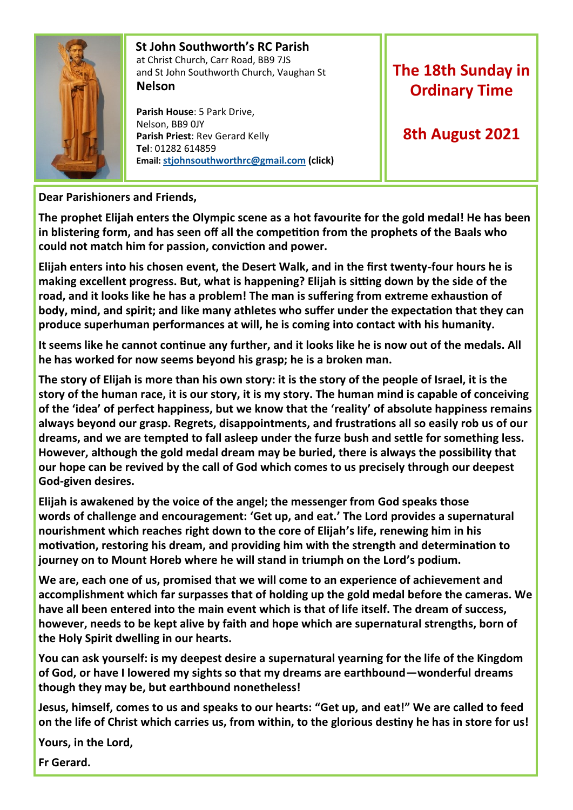

#### **St John Southworth's RC Parish** at Christ Church, Carr Road, BB9 7JS and St John Southworth Church, Vaughan St **Nelson**

 **Parish House**: 5 Park Drive, Nelson, BB9 0JY **Parish Priest**: Rev Gerard Kelly **Tel**: 01282 614859 **Email: [stjohnsouthworthrc@gmail.com](mailto:stjohnsouthworth@gmail.com) (click)**

# **The 18th Sunday in Ordinary Time**

## **8th August 2021**

### **Dear Parishioners and Friends,**

**The prophet Elijah enters the Olympic scene as a hot favourite for the gold medal! He has been in blistering form, and has seen off all the competition from the prophets of the Baals who could not match him for passion, conviction and power.** 

**Elijah enters into his chosen event, the Desert Walk, and in the first twenty-four hours he is making excellent progress. But, what is happening? Elijah is sitting down by the side of the road, and it looks like he has a problem! The man is suffering from extreme exhaustion of body, mind, and spirit; and like many athletes who suffer under the expectation that they can produce superhuman performances at will, he is coming into contact with his humanity.** 

**It seems like he cannot continue any further, and it looks like he is now out of the medals. All he has worked for now seems beyond his grasp; he is a broken man.**

**The story of Elijah is more than his own story: it is the story of the people of Israel, it is the story of the human race, it is our story, it is my story. The human mind is capable of conceiving of the 'idea' of perfect happiness, but we know that the 'reality' of absolute happiness remains always beyond our grasp. Regrets, disappointments, and frustrations all so easily rob us of our dreams, and we are tempted to fall asleep under the furze bush and settle for something less. However, although the gold medal dream may be buried, there is always the possibility that our hope can be revived by the call of God which comes to us precisely through our deepest God-given desires.** 

**Elijah is awakened by the voice of the angel; the messenger from God speaks those words of challenge and encouragement: 'Get up, and eat.' The Lord provides a supernatural nourishment which reaches right down to the core of Elijah's life, renewing him in his motivation, restoring his dream, and providing him with the strength and determination to journey on to Mount Horeb where he will stand in triumph on the Lord's podium.**

**We are, each one of us, promised that we will come to an experience of achievement and accomplishment which far surpasses that of holding up the gold medal before the cameras. We have all been entered into the main event which is that of life itself. The dream of success, however, needs to be kept alive by faith and hope which are supernatural strengths, born of the Holy Spirit dwelling in our hearts.**

**You can ask yourself: is my deepest desire a supernatural yearning for the life of the Kingdom of God, or have I lowered my sights so that my dreams are earthbound—wonderful dreams though they may be, but earthbound nonetheless!**

**Jesus, himself, comes to us and speaks to our hearts: "Get up, and eat!" We are called to feed on the life of Christ which carries us, from within, to the glorious destiny he has in store for us!**

**Yours, in the Lord,** 

**Fr Gerard.**